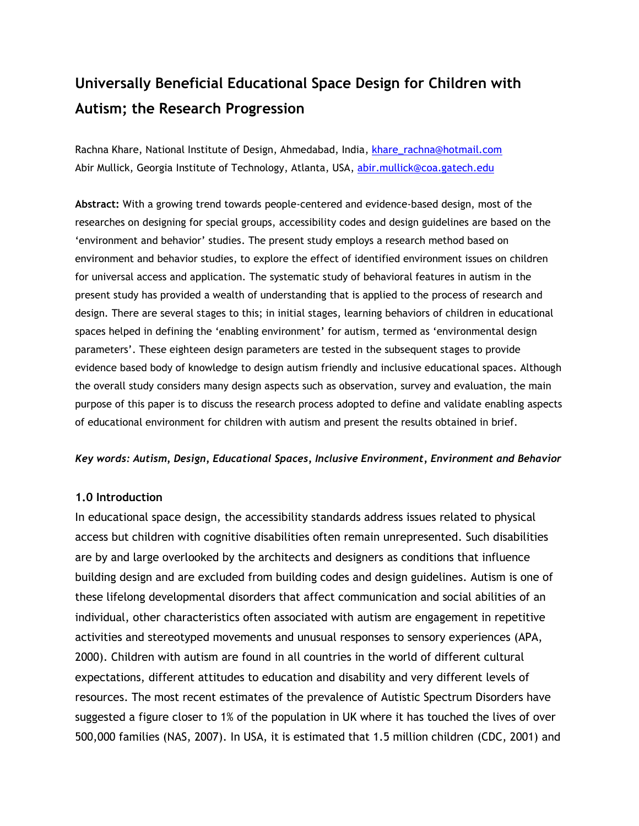# **Universally Beneficial Educational Space Design for Children with Autism; the Research Progression**

Rachna Khare, National Institute of Design, Ahmedabad, India, [khare\\_rachna@hotmail.com](mailto:khare_rachna@hotmail.com) Abir Mullick, Georgia Institute of Technology, Atlanta, USA, [abir.mullick@coa.gatech.edu](mailto:abir.mullick@coa.gatech.edu)

**Abstract:** With a growing trend towards people-centered and evidence-based design, most of the researches on designing for special groups, accessibility codes and design guidelines are based on the "environment and behavior" studies. The present study employs a research method based on environment and behavior studies, to explore the effect of identified environment issues on children for universal access and application. The systematic study of behavioral features in autism in the present study has provided a wealth of understanding that is applied to the process of research and design. There are several stages to this; in initial stages, learning behaviors of children in educational spaces helped in defining the 'enabling environment' for autism, termed as 'environmental design parameters". These eighteen design parameters are tested in the subsequent stages to provide evidence based body of knowledge to design autism friendly and inclusive educational spaces. Although the overall study considers many design aspects such as observation, survey and evaluation, the main purpose of this paper is to discuss the research process adopted to define and validate enabling aspects of educational environment for children with autism and present the results obtained in brief.

### *Key words: Autism, Design, Educational Spaces, Inclusive Environment, Environment and Behavior*

#### **1.0 Introduction**

In educational space design, the accessibility standards address issues related to physical access but children with cognitive disabilities often remain unrepresented. Such disabilities are by and large overlooked by the architects and designers as conditions that influence building design and are excluded from building codes and design guidelines. Autism is one of these lifelong developmental disorders that affect communication and social abilities of an individual, other characteristics often associated with autism are engagement in repetitive activities and stereotyped movements and unusual responses to sensory experiences (APA, 2000). Children with autism are found in all countries in the world of different cultural expectations, different attitudes to education and disability and very different levels of resources. The most recent estimates of the prevalence of Autistic Spectrum Disorders have suggested a figure closer to 1% of the population in UK where it has touched the lives of over 500,000 families (NAS, 2007). In USA, it is estimated that 1.5 million children (CDC, 2001) and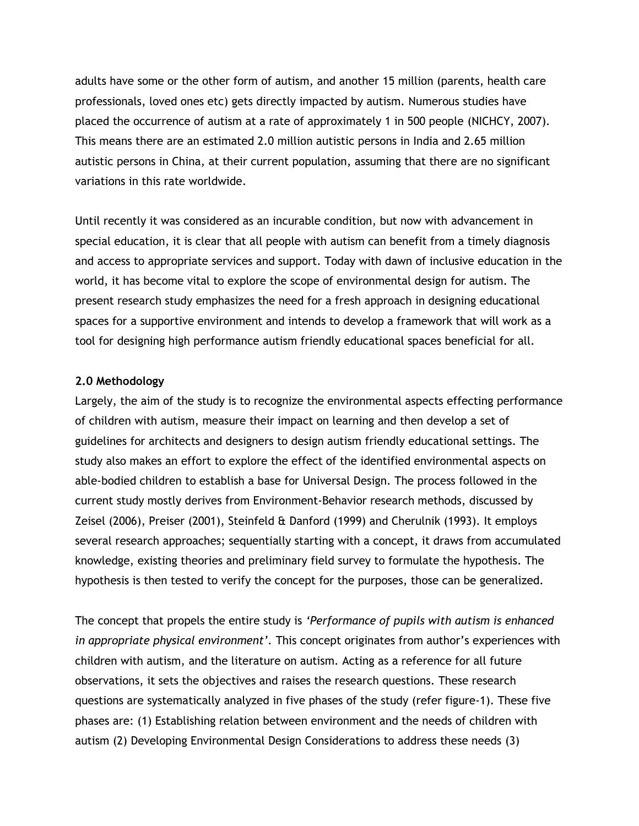adults have some or the other form of autism, and another 15 million (parents, health care professionals, loved ones etc) gets directly impacted by autism. Numerous studies have placed the occurrence of autism at a rate of approximately 1 in 500 people (NICHCY, 2007). This means there are an estimated 2.0 million autistic persons in India and 2.65 million autistic persons in China, at their current population, assuming that there are no significant variations in this rate worldwide.

Until recently it was considered as an incurable condition, but now with advancement in special education, it is clear that all people with autism can benefit from a timely diagnosis and access to appropriate services and support. Today with dawn of inclusive education in the world, it has become vital to explore the scope of environmental design for autism. The present research study emphasizes the need for a fresh approach in designing educational spaces for a supportive environment and intends to develop a framework that will work as a tool for designing high performance autism friendly educational spaces beneficial for all.

#### **2.0 Methodology**

Largely, the aim of the study is to recognize the environmental aspects effecting performance of children with autism, measure their impact on learning and then develop a set of guidelines for architects and designers to design autism friendly educational settings. The study also makes an effort to explore the effect of the identified environmental aspects on able-bodied children to establish a base for Universal Design. The process followed in the current study mostly derives from Environment-Behavior research methods, discussed by Zeisel (2006), Preiser (2001), Steinfeld & Danford (1999) and Cherulnik (1993). It employs several research approaches; sequentially starting with a concept, it draws from accumulated knowledge, existing theories and preliminary field survey to formulate the hypothesis. The hypothesis is then tested to verify the concept for the purposes, those can be generalized.

The concept that propels the entire study is *'Performance of pupils with autism is enhanced in appropriate physical environment'*. This concept originates from author's experiences with children with autism, and the literature on autism. Acting as a reference for all future observations, it sets the objectives and raises the research questions. These research questions are systematically analyzed in five phases of the study (refer figure-1). These five phases are: (1) Establishing relation between environment and the needs of children with autism (2) Developing Environmental Design Considerations to address these needs (3)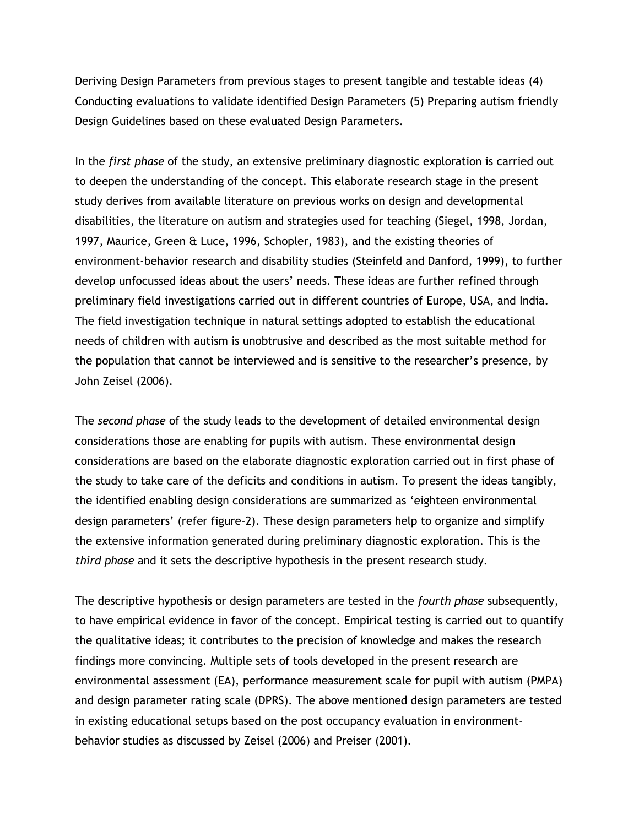Deriving Design Parameters from previous stages to present tangible and testable ideas (4) Conducting evaluations to validate identified Design Parameters (5) Preparing autism friendly Design Guidelines based on these evaluated Design Parameters.

In the *first phase* of the study, an extensive preliminary diagnostic exploration is carried out to deepen the understanding of the concept. This elaborate research stage in the present study derives from available literature on previous works on design and developmental disabilities, the literature on autism and strategies used for teaching (Siegel, 1998, Jordan, 1997, Maurice, Green & Luce, 1996, Schopler, 1983), and the existing theories of environment-behavior research and disability studies (Steinfeld and Danford, 1999), to further develop unfocussed ideas about the users" needs. These ideas are further refined through preliminary field investigations carried out in different countries of Europe, USA, and India. The field investigation technique in natural settings adopted to establish the educational needs of children with autism is unobtrusive and described as the most suitable method for the population that cannot be interviewed and is sensitive to the researcher"s presence, by John Zeisel (2006).

The *second phase* of the study leads to the development of detailed environmental design considerations those are enabling for pupils with autism. These environmental design considerations are based on the elaborate diagnostic exploration carried out in first phase of the study to take care of the deficits and conditions in autism. To present the ideas tangibly, the identified enabling design considerations are summarized as "eighteen environmental design parameters" (refer figure-2). These design parameters help to organize and simplify the extensive information generated during preliminary diagnostic exploration. This is the *third phase* and it sets the descriptive hypothesis in the present research study.

The descriptive hypothesis or design parameters are tested in the *fourth phase* subsequently, to have empirical evidence in favor of the concept. Empirical testing is carried out to quantify the qualitative ideas; it contributes to the precision of knowledge and makes the research findings more convincing. Multiple sets of tools developed in the present research are environmental assessment (EA), performance measurement scale for pupil with autism (PMPA) and design parameter rating scale (DPRS). The above mentioned design parameters are tested in existing educational setups based on the post occupancy evaluation in environmentbehavior studies as discussed by Zeisel (2006) and Preiser (2001).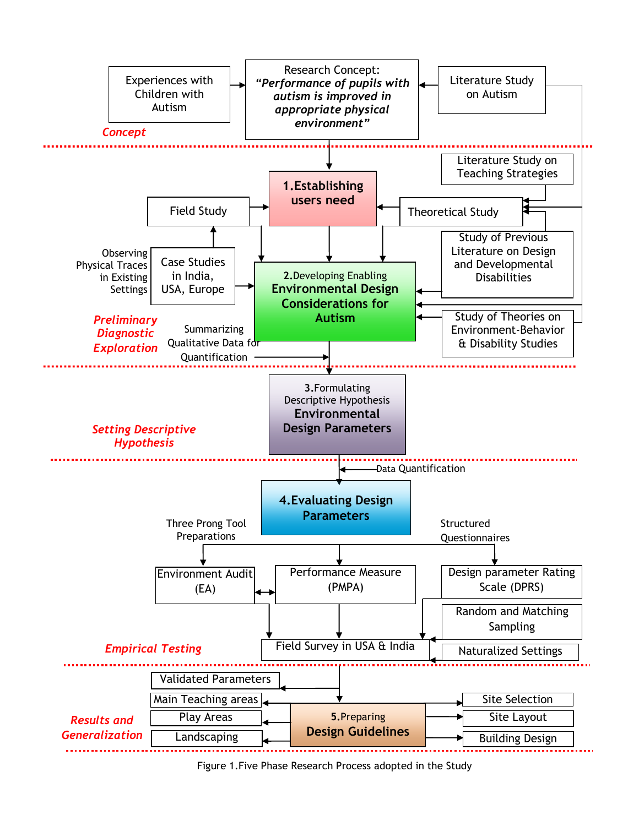

Figure 1.Five Phase Research Process adopted in the Study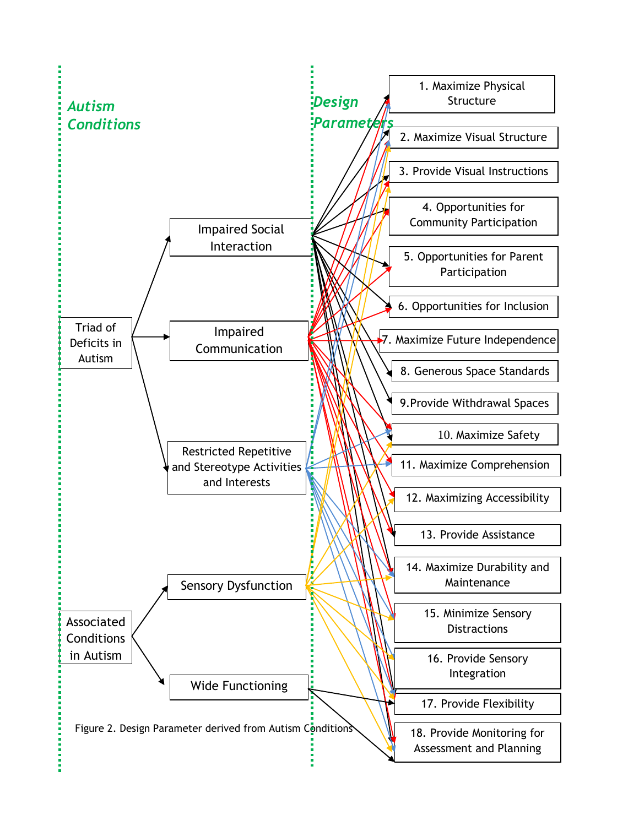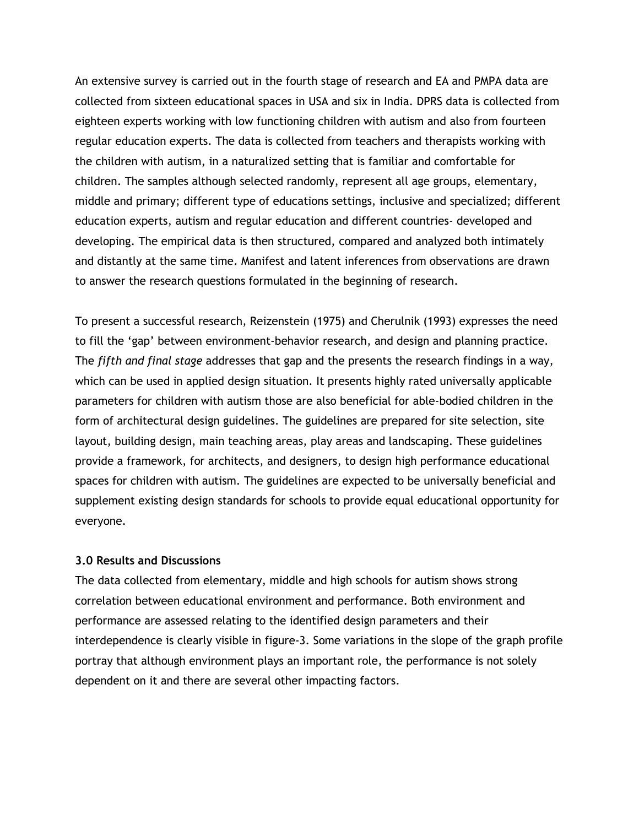An extensive survey is carried out in the fourth stage of research and EA and PMPA data are collected from sixteen educational spaces in USA and six in India. DPRS data is collected from eighteen experts working with low functioning children with autism and also from fourteen regular education experts. The data is collected from teachers and therapists working with the children with autism, in a naturalized setting that is familiar and comfortable for children. The samples although selected randomly, represent all age groups, elementary, middle and primary; different type of educations settings, inclusive and specialized; different education experts, autism and regular education and different countries- developed and developing. The empirical data is then structured, compared and analyzed both intimately and distantly at the same time. Manifest and latent inferences from observations are drawn to answer the research questions formulated in the beginning of research.

To present a successful research, Reizenstein (1975) and Cherulnik (1993) expresses the need to fill the "gap" between environment-behavior research, and design and planning practice. The *fifth and final stage* addresses that gap and the presents the research findings in a way, which can be used in applied design situation. It presents highly rated universally applicable parameters for children with autism those are also beneficial for able-bodied children in the form of architectural design guidelines. The guidelines are prepared for site selection, site layout, building design, main teaching areas, play areas and landscaping. These guidelines provide a framework, for architects, and designers, to design high performance educational spaces for children with autism. The guidelines are expected to be universally beneficial and supplement existing design standards for schools to provide equal educational opportunity for everyone.

#### **3.0 Results and Discussions**

The data collected from elementary, middle and high schools for autism shows strong correlation between educational environment and performance. Both environment and performance are assessed relating to the identified design parameters and their interdependence is clearly visible in figure-3. Some variations in the slope of the graph profile portray that although environment plays an important role, the performance is not solely dependent on it and there are several other impacting factors.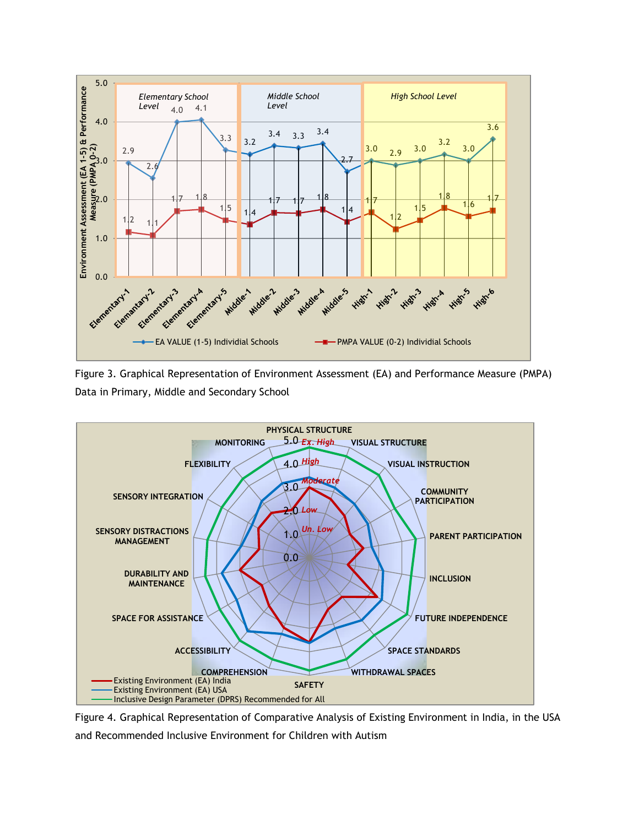

Figure 3. Graphical Representation of Environment Assessment (EA) and Performance Measure (PMPA) Data in Primary, Middle and Secondary School



Figure 4. Graphical Representation of Comparative Analysis of Existing Environment in India, in the USA and Recommended Inclusive Environment for Children with Autism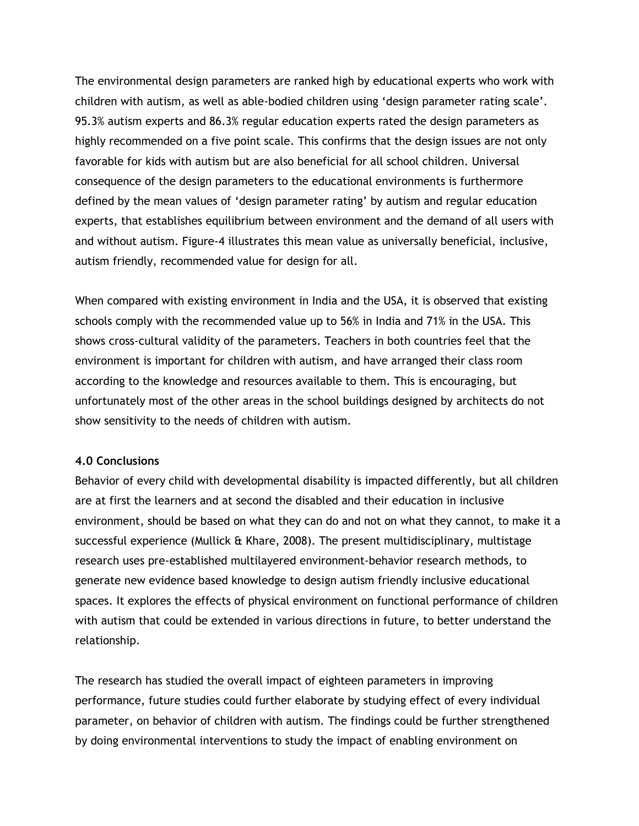The environmental design parameters are ranked high by educational experts who work with children with autism, as well as able-bodied children using "design parameter rating scale". 95.3% autism experts and 86.3% regular education experts rated the design parameters as highly recommended on a five point scale. This confirms that the design issues are not only favorable for kids with autism but are also beneficial for all school children. Universal consequence of the design parameters to the educational environments is furthermore defined by the mean values of 'design parameter rating' by autism and regular education experts, that establishes equilibrium between environment and the demand of all users with and without autism. Figure-4 illustrates this mean value as universally beneficial, inclusive, autism friendly, recommended value for design for all.

When compared with existing environment in India and the USA, it is observed that existing schools comply with the recommended value up to 56% in India and 71% in the USA. This shows cross-cultural validity of the parameters. Teachers in both countries feel that the environment is important for children with autism, and have arranged their class room according to the knowledge and resources available to them. This is encouraging, but unfortunately most of the other areas in the school buildings designed by architects do not show sensitivity to the needs of children with autism.

#### **4.0 Conclusions**

Behavior of every child with developmental disability is impacted differently, but all children are at first the learners and at second the disabled and their education in inclusive environment, should be based on what they can do and not on what they cannot, to make it a successful experience (Mullick & Khare, 2008). The present multidisciplinary, multistage research uses pre-established multilayered environment-behavior research methods, to generate new evidence based knowledge to design autism friendly inclusive educational spaces. It explores the effects of physical environment on functional performance of children with autism that could be extended in various directions in future, to better understand the relationship.

The research has studied the overall impact of eighteen parameters in improving performance, future studies could further elaborate by studying effect of every individual parameter, on behavior of children with autism. The findings could be further strengthened by doing environmental interventions to study the impact of enabling environment on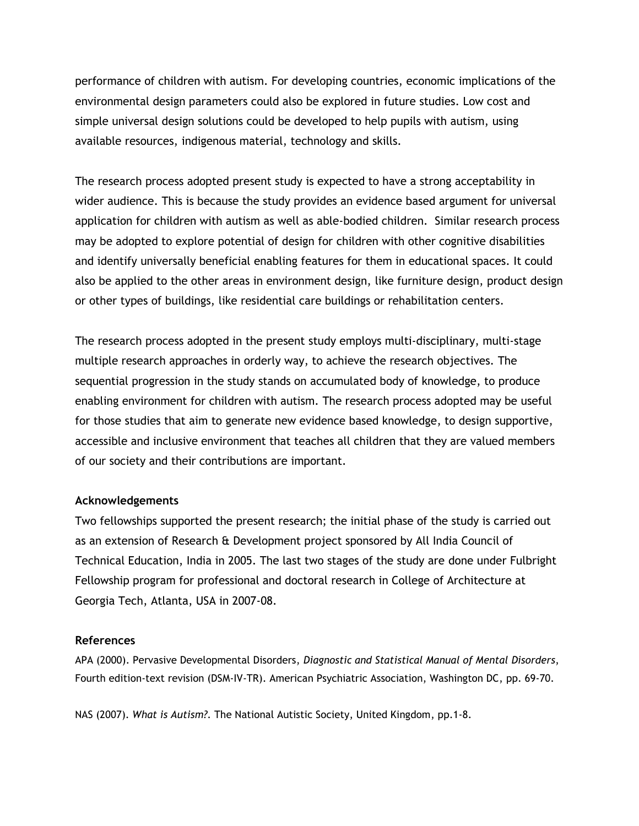performance of children with autism. For developing countries, economic implications of the environmental design parameters could also be explored in future studies. Low cost and simple universal design solutions could be developed to help pupils with autism, using available resources, indigenous material, technology and skills.

The research process adopted present study is expected to have a strong acceptability in wider audience. This is because the study provides an evidence based argument for universal application for children with autism as well as able-bodied children. Similar research process may be adopted to explore potential of design for children with other cognitive disabilities and identify universally beneficial enabling features for them in educational spaces. It could also be applied to the other areas in environment design, like furniture design, product design or other types of buildings, like residential care buildings or rehabilitation centers.

The research process adopted in the present study employs multi-disciplinary, multi-stage multiple research approaches in orderly way, to achieve the research objectives. The sequential progression in the study stands on accumulated body of knowledge, to produce enabling environment for children with autism. The research process adopted may be useful for those studies that aim to generate new evidence based knowledge, to design supportive, accessible and inclusive environment that teaches all children that they are valued members of our society and their contributions are important.

## **Acknowledgements**

Two fellowships supported the present research; the initial phase of the study is carried out as an extension of Research & Development project sponsored by All India Council of Technical Education, India in 2005. The last two stages of the study are done under Fulbright Fellowship program for professional and doctoral research in College of Architecture at Georgia Tech, Atlanta, USA in 2007-08.

#### **References**

APA (2000). Pervasive Developmental Disorders, *Diagnostic and Statistical Manual of Mental Disorders*, Fourth edition-text revision (DSM-IV-TR). American Psychiatric Association, Washington DC, pp. 69-70.

NAS (2007). *What is Autism?*. The National Autistic Society, United Kingdom, pp.1-8.